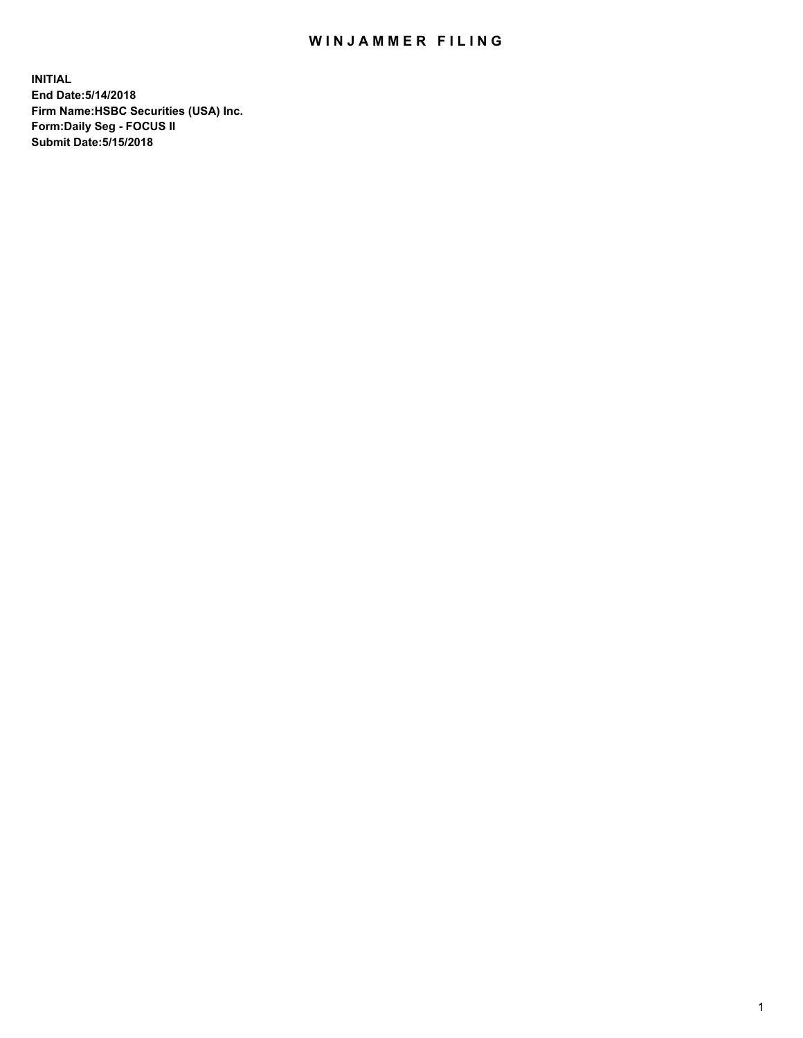## WIN JAMMER FILING

**INITIAL End Date:5/14/2018 Firm Name:HSBC Securities (USA) Inc. Form:Daily Seg - FOCUS II Submit Date:5/15/2018**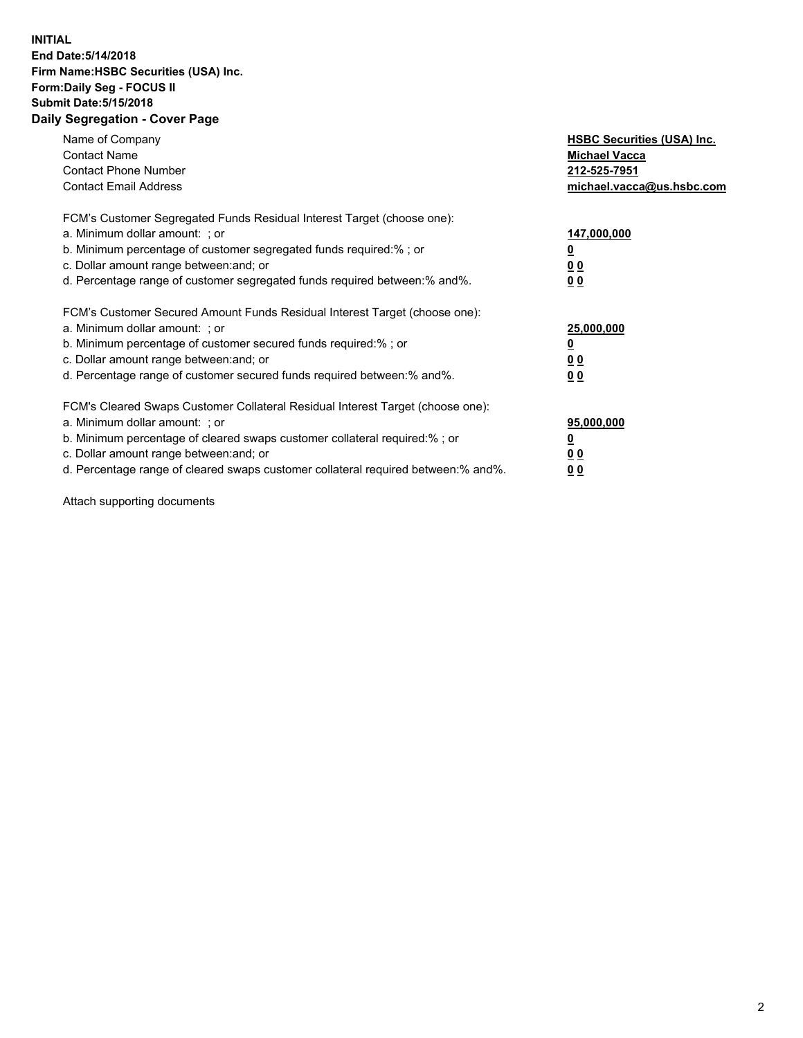## **INITIAL End Date:5/14/2018 Firm Name:HSBC Securities (USA) Inc. Form:Daily Seg - FOCUS II Submit Date:5/15/2018 Daily Segregation - Cover Page**

| Name of Company<br><b>Contact Name</b><br><b>Contact Phone Number</b><br><b>Contact Email Address</b>                                                                                                                                                                                                                         | <b>HSBC Securities (USA) Inc.</b><br><b>Michael Vacca</b><br>212-525-7951<br>michael.vacca@us.hsbc.com |
|-------------------------------------------------------------------------------------------------------------------------------------------------------------------------------------------------------------------------------------------------------------------------------------------------------------------------------|--------------------------------------------------------------------------------------------------------|
| FCM's Customer Segregated Funds Residual Interest Target (choose one):<br>a. Minimum dollar amount: ; or<br>b. Minimum percentage of customer segregated funds required:%; or<br>c. Dollar amount range between: and; or<br>d. Percentage range of customer segregated funds required between: % and %.                       | 147,000,000<br><u>0</u><br><u>00</u><br>00                                                             |
| FCM's Customer Secured Amount Funds Residual Interest Target (choose one):<br>a. Minimum dollar amount: ; or<br>b. Minimum percentage of customer secured funds required:%; or<br>c. Dollar amount range between: and; or<br>d. Percentage range of customer secured funds required between: % and %.                         | 25,000,000<br><u>0</u><br><u>00</u><br>00                                                              |
| FCM's Cleared Swaps Customer Collateral Residual Interest Target (choose one):<br>a. Minimum dollar amount: ; or<br>b. Minimum percentage of cleared swaps customer collateral required:%; or<br>c. Dollar amount range between: and; or<br>d. Percentage range of cleared swaps customer collateral required between:% and%. | 95,000,000<br><u>0</u><br><u>00</u><br><u>00</u>                                                       |

Attach supporting documents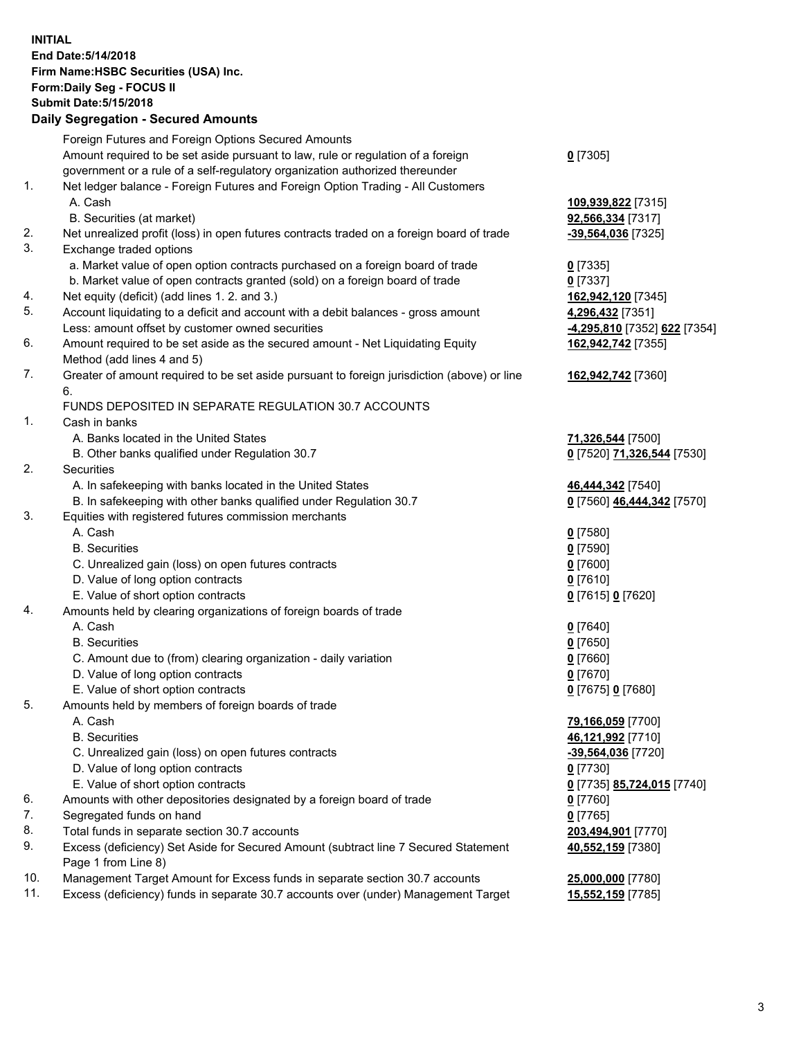**INITIAL End Date:5/14/2018 Firm Name:HSBC Securities (USA) Inc. Form:Daily Seg - FOCUS II Submit Date:5/15/2018 Daily Segregation - Secured Amounts**

Foreign Futures and Foreign Options Secured Amounts Amount required to be set aside pursuant to law, rule or regulation of a foreign government or a rule of a self-regulatory organization authorized thereunder **0** [7305] 1. Net ledger balance - Foreign Futures and Foreign Option Trading - All Customers A. Cash **109,939,822** [7315] B. Securities (at market) **92,566,334** [7317] 2. Net unrealized profit (loss) in open futures contracts traded on a foreign board of trade **-39,564,036** [7325] 3. Exchange traded options a. Market value of open option contracts purchased on a foreign board of trade **0** [7335] b. Market value of open contracts granted (sold) on a foreign board of trade **0** [7337] 4. Net equity (deficit) (add lines 1. 2. and 3.) **162,942,120** [7345] 5. Account liquidating to a deficit and account with a debit balances - gross amount **4,296,432** [7351] Less: amount offset by customer owned securities **-4,295,810** [7352] **622** [7354] 6. Amount required to be set aside as the secured amount - Net Liquidating Equity Method (add lines 4 and 5) **162,942,742** [7355] 7. Greater of amount required to be set aside pursuant to foreign jurisdiction (above) or line 6. **162,942,742** [7360] FUNDS DEPOSITED IN SEPARATE REGULATION 30.7 ACCOUNTS 1. Cash in banks A. Banks located in the United States **71,326,544** [7500] B. Other banks qualified under Regulation 30.7 **0** [7520] **71,326,544** [7530] 2. Securities A. In safekeeping with banks located in the United States **46,444,342** [7540] B. In safekeeping with other banks qualified under Regulation 30.7 **0** [7560] **46,444,342** [7570] 3. Equities with registered futures commission merchants A. Cash **0** [7580] B. Securities **0** [7590] C. Unrealized gain (loss) on open futures contracts **0** [7600] D. Value of long option contracts **0** [7610] E. Value of short option contracts **0** [7615] **0** [7620] 4. Amounts held by clearing organizations of foreign boards of trade A. Cash **0** [7640] B. Securities **0** [7650] C. Amount due to (from) clearing organization - daily variation **0** [7660] D. Value of long option contracts **0** [7670] E. Value of short option contracts **0** [7675] **0** [7680] 5. Amounts held by members of foreign boards of trade A. Cash **79,166,059** [7700] B. Securities **46,121,992** [7710] C. Unrealized gain (loss) on open futures contracts **-39,564,036** [7720] D. Value of long option contracts **0** [7730] E. Value of short option contracts **0** [7735] **85,724,015** [7740] 6. Amounts with other depositories designated by a foreign board of trade **0** [7760] 7. Segregated funds on hand **0** [7765] 8. Total funds in separate section 30.7 accounts **203,494,901** [7770] 9. Excess (deficiency) Set Aside for Secured Amount (subtract line 7 Secured Statement Page 1 from Line 8) **40,552,159** [7380] 10. Management Target Amount for Excess funds in separate section 30.7 accounts **25,000,000** [7780] 11. Excess (deficiency) funds in separate 30.7 accounts over (under) Management Target **15,552,159** [7785]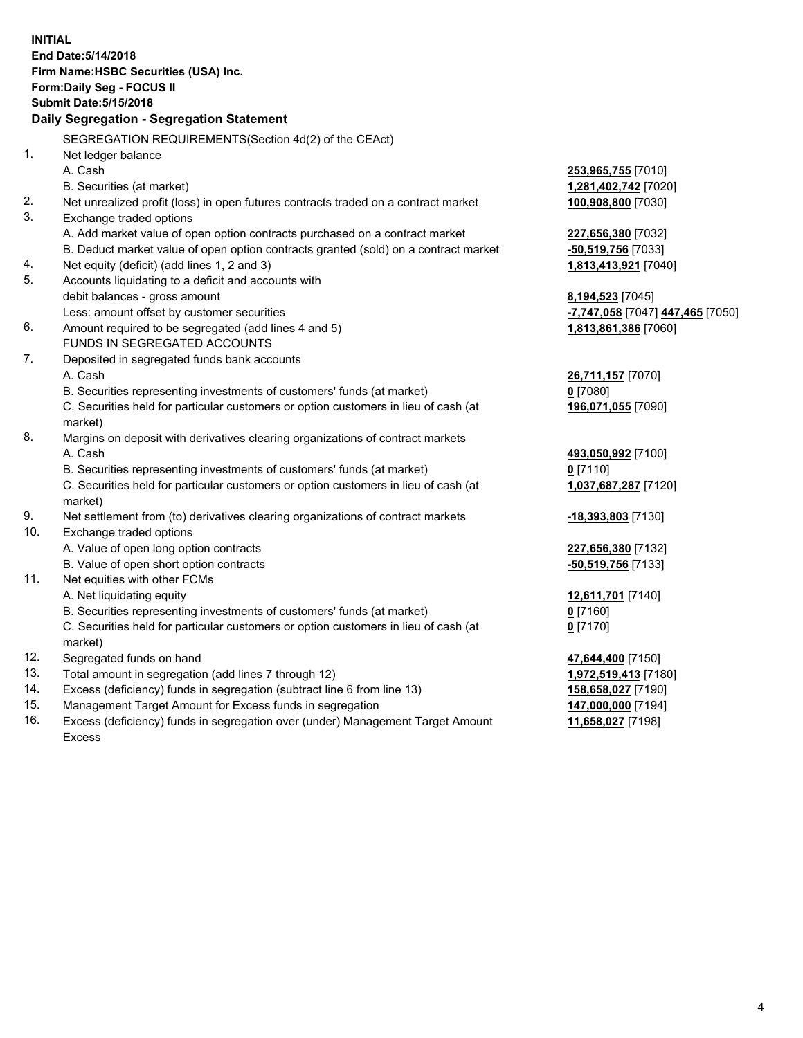**INITIAL End Date:5/14/2018 Firm Name:HSBC Securities (USA) Inc. Form:Daily Seg - FOCUS II Submit Date:5/15/2018 Daily Segregation - Segregation Statement** SEGREGATION REQUIREMENTS(Section 4d(2) of the CEAct) 1. Net ledger balance A. Cash **253,965,755** [7010] B. Securities (at market) **1,281,402,742** [7020] 2. Net unrealized profit (loss) in open futures contracts traded on a contract market **100,908,800** [7030] 3. Exchange traded options A. Add market value of open option contracts purchased on a contract market **227,656,380** [7032] B. Deduct market value of open option contracts granted (sold) on a contract market **-50,519,756** [7033] 4. Net equity (deficit) (add lines 1, 2 and 3) **1,813,413,921** [7040] 5. Accounts liquidating to a deficit and accounts with debit balances - gross amount **8,194,523** [7045] Less: amount offset by customer securities **-7,747,058** [7047] **447,465** [7050] 6. Amount required to be segregated (add lines 4 and 5) **1,813,861,386** [7060] FUNDS IN SEGREGATED ACCOUNTS 7. Deposited in segregated funds bank accounts A. Cash **26,711,157** [7070] B. Securities representing investments of customers' funds (at market) **0** [7080] C. Securities held for particular customers or option customers in lieu of cash (at market) **196,071,055** [7090] 8. Margins on deposit with derivatives clearing organizations of contract markets A. Cash **493,050,992** [7100] B. Securities representing investments of customers' funds (at market) **0** [7110] C. Securities held for particular customers or option customers in lieu of cash (at market) **1,037,687,287** [7120] 9. Net settlement from (to) derivatives clearing organizations of contract markets **-18,393,803** [7130] 10. Exchange traded options A. Value of open long option contracts **227,656,380** [7132] B. Value of open short option contracts **-50,519,756** [7133] 11. Net equities with other FCMs A. Net liquidating equity **12,611,701** [7140] B. Securities representing investments of customers' funds (at market) **0** [7160] C. Securities held for particular customers or option customers in lieu of cash (at market) **0** [7170] 12. Segregated funds on hand **47,644,400** [7150] 13. Total amount in segregation (add lines 7 through 12) **1,972,519,413** [7180] 14. Excess (deficiency) funds in segregation (subtract line 6 from line 13) **158,658,027** [7190] 15. Management Target Amount for Excess funds in segregation **147,000,000** [7194]

16. Excess (deficiency) funds in segregation over (under) Management Target Amount Excess

**11,658,027** [7198]